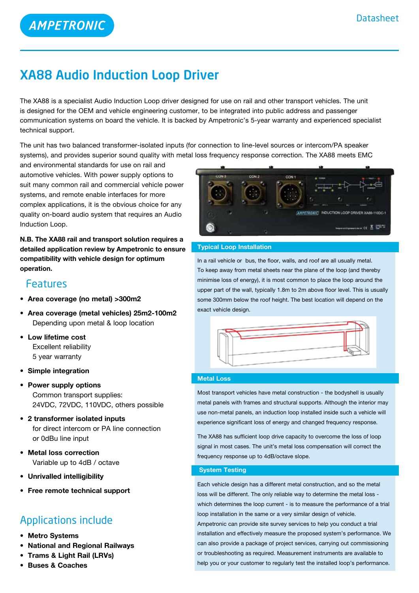**AMPETRONIC** 

# XA88 Audio Induction Loop Driver

The XA88 is a specialist Audio Induction Loop driver designed for use on rail and other transport vehicles. The unit is designed for the OEM and vehicle engineering customer, to be integrated into public address and passenger communication systems on board the vehicle. It is backed by Ampetronic's 5-year warranty and experienced specialist technical support.

The unit has two balanced transformer-isolated inputs (for connection to line-level sources or intercom/PA speaker systems), and provides superior sound quality with metal loss frequency response correction. The XA88 meets EMC

and environmental standards for use on rail and automotive vehicles. With power supply options to suit many common rail and commercial vehicle power systems, and remote enable interfaces for more complex applications, it is the obvious choice for any quality on-board audio system that requires an Audio Induction Loop.

**N.B. The XA88 rail and transport solution requires a detailed application review by Ampetronic to ensure compatibility with vehicle design for optimum operation.**

### Features

- **• Area coverage (no metal) >300m2**
- **• Area coverage (metal vehicles) 25m2-100m2**  Depending upon metal & loop location
- **• Low lifetime cost** Excellent reliability 5 year warranty
- **• Simple integration**
- **• Power supply options** Common transport supplies: 24VDC, 72VDC, 110VDC, others possible
- **• 2 transformer isolated inputs** for direct intercom or PA line connection or 0dBu line input
- **• Metal loss correction** Variable up to 4dB / octave
- **• Unrivalled intelligibility**
- **• Free remote technical support**

### Applications include

- **• Metro Systems**
- **National and Regional Railways**
- **Frams & Light Rail (LRVs)**
- **• Buses & Coaches**



#### **Typical Loop Installation**

In a rail vehicle or bus, the floor, walls, and roof are all usually metal. To keep away from metal sheets near the plane of the loop (and thereby minimise loss of energy), it is most common to place the loop around the upper part of the wall, typically 1.8m to 2m above floor level. This is usually some 300mm below the roof height. The best location will depend on the exact vehicle design.



#### **Metal Loss**

Most transport vehicles have metal construction - the bodyshell is usually metal panels with frames and structural supports. Although the interior may use non-metal panels, an induction loop installed inside such a vehicle will experience significant loss of energy and changed frequency response.

The XA88 has sufficient loop drive capacity to overcome the loss of loop signal in most cases. The unit's metal loss compensation will correct the frequency response up to 4dB/octave slope.

#### **System Testing**

Each vehicle design has a different metal construction, and so the metal loss will be different. The only reliable way to determine the metal loss which determines the loop current - is to measure the performance of a trial loop installation in the same or a very similar design of vehicle. Ampetronic can provide site survey services to help you conduct a trial installation and effectively measure the proposed system's performance. We can also provide a package of project services, carrying out commissioning or troubleshooting as required. Measurement instruments are available to help you or your customer to regularly test the installed loop's performance.